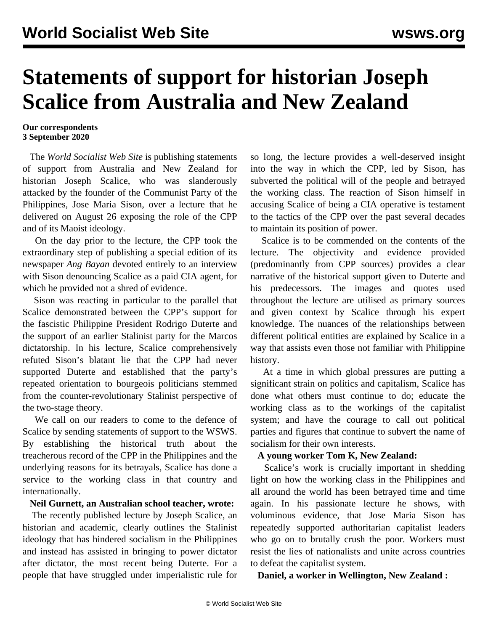# **Statements of support for historian Joseph Scalice from Australia and New Zealand**

#### **Our correspondents 3 September 2020**

 The *World Socialist Web Site* is publishing statements of support from Australia and New Zealand for historian Joseph Scalice, who was slanderously attacked by the founder of the Communist Party of the Philippines, Jose Maria Sison, over a lecture that he delivered on August 26 exposing the role of the CPP and of its Maoist ideology.

 On the day prior to the lecture, the CPP took the extraordinary step of publishing a special edition of its newspaper *Ang Bayan* devoted entirely to an interview with Sison denouncing Scalice as a paid CIA agent, for which he provided not a shred of evidence.

 Sison was reacting in particular to the parallel that Scalice demonstrated between the CPP's support for the fascistic Philippine President Rodrigo Duterte and the support of an earlier Stalinist party for the Marcos dictatorship. In his lecture, Scalice comprehensively refuted Sison's blatant lie that the CPP had never supported Duterte and established that the party's repeated orientation to bourgeois politicians stemmed from the counter-revolutionary Stalinist perspective of the two-stage theory.

 We call on our readers to come to the defence of Scalice by [sending statements](/en/special/contact.html) of support to the WSWS. By establishing the historical truth about the treacherous record of the CPP in the Philippines and the underlying reasons for its betrayals, Scalice has done a service to the working class in that country and internationally.

# **Neil Gurnett, an Australian school teacher, wrote:**

 The recently published lecture by Joseph Scalice, an historian and academic, clearly outlines the Stalinist ideology that has hindered socialism in the Philippines and instead has assisted in bringing to power dictator after dictator, the most recent being Duterte. For a people that have struggled under imperialistic rule for so long, the lecture provides a well-deserved insight into the way in which the CPP, led by Sison, has subverted the political will of the people and betrayed the working class. The reaction of Sison himself in accusing Scalice of being a CIA operative is testament to the tactics of the CPP over the past several decades to maintain its position of power.

 Scalice is to be commended on the contents of the lecture. The objectivity and evidence provided (predominantly from CPP sources) provides a clear narrative of the historical support given to Duterte and his predecessors. The images and quotes used throughout the lecture are utilised as primary sources and given context by Scalice through his expert knowledge. The nuances of the relationships between different political entities are explained by Scalice in a way that assists even those not familiar with Philippine history.

 At a time in which global pressures are putting a significant strain on politics and capitalism, Scalice has done what others must continue to do; educate the working class as to the workings of the capitalist system; and have the courage to call out political parties and figures that continue to subvert the name of socialism for their own interests.

# **A young worker Tom K, New Zealand:**

 Scalice's work is crucially important in shedding light on how the working class in the Philippines and all around the world has been betrayed time and time again. In his passionate lecture he shows, with voluminous evidence, that Jose Maria Sison has repeatedly supported authoritarian capitalist leaders who go on to brutally crush the poor. Workers must resist the lies of nationalists and unite across countries to defeat the capitalist system.

**Daniel, a worker in Wellington, New Zealand :**